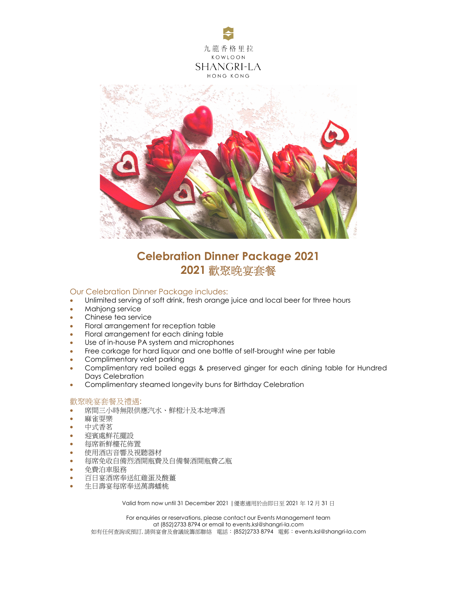



## Celebration Dinner Package 2021 2021 歡聚晚宴套餐

### Our Celebration Dinner Package includes:

- Unlimited serving of soft drink, fresh orange juice and local beer for three hours
- Mahjong service
- Chinese tea service
- Floral arrangement for reception table
- Floral arrangement for each dining table
- Use of in-house PA system and microphones
- Free corkage for hard liquor and one bottle of self-brought wine per table
- Complimentary valet parking
- Complimentary red boiled eggs & preserved ginger for each dining table for Hundred Days Celebration
- Complimentary steamed longevity buns for Birthday Celebration

#### 歡聚晚宴套餐及禮遇:

- 席間三小時無限供應汽水、鮮橙汁及本地啤酒
- 麻雀耍樂
- 中式香茗
- 迎賓處鮮花擺設
- 每席新鮮檯花佈置
- 使用酒店音響及視聽器材
- 每席免收自備烈酒開瓶費及自備餐酒開瓶費乙瓶
- 免費泊車服務
- 百日宴酒席奉送紅雞蛋及酸薑
- 生日壽宴每席奉送萬壽蟠桃

Valid from now until 31 December 2021 |優惠適用於由即日至 2021 年 12 月 31 日

For enquiries or reservations, please contact our Events Management team at (852)2733 8794 or email to events.ksl@shangri-la.com 如有任何查詢或預訂,請與宴會及會議統籌部聯絡 電話:(852)2733 8794 電郵:events.ksl@shangri-la.com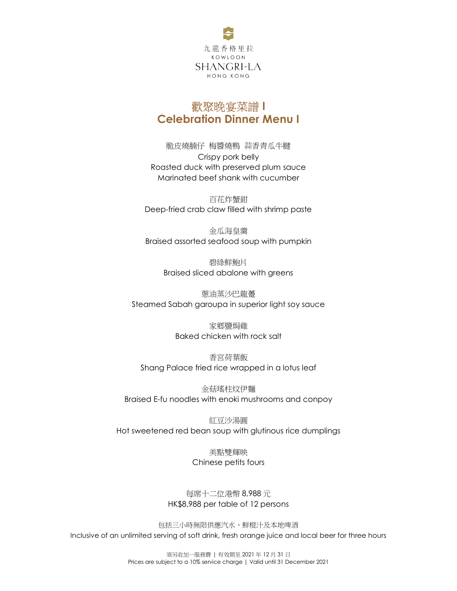

## 歡聚晚宴菜譜 Ⅰ Celebration Dinner Menu I

脆皮燒腩仔 梅醬燒鴨 蒜香青瓜牛腱 Crispy pork belly Roasted duck with preserved plum sauce Marinated beef shank with cucumber

百花炸蟹鉗 Deep-fried crab claw filled with shrimp paste

金瓜海皇羹 Braised assorted seafood soup with pumpkin

> 碧綠鮮鮑片 Braised sliced abalone with greens

蔥油蒸沙巴龍躉 Steamed Sabah garoupa in superior light soy sauce

> 家鄉鹽焗雞 Baked chicken with rock salt

香宮荷葉飯 Shang Palace fried rice wrapped in a lotus leaf

金菇瑤柱炆伊麵 Braised E-fu noodles with enoki mushrooms and conpoy

紅豆沙湯圓 Hot sweetened red bean soup with glutinous rice dumplings

> 美點雙輝映 Chinese petits fours

每席十二位港幣 8,988 元 HK\$8,988 per table of 12 persons

包括三小時無限供應汽水、鮮橙汁及本地啤酒 Inclusive of an unlimited serving of soft drink, fresh orange juice and local beer for three hours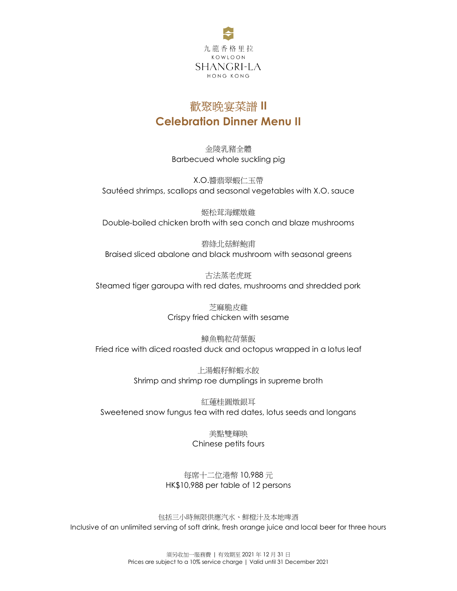

# 歡聚晚宴菜譜Ⅱ Celebration Dinner Menu II

金陵乳豬全體 Barbecued whole suckling pig

X.O.醬翡翠蝦仁玉帶 Sautéed shrimps, scallops and seasonal vegetables with X.O. sauce

姬松茸海螺燉雞 Double-boiled chicken broth with sea conch and blaze mushrooms

碧綠北菇鮮鮑甫 Braised sliced abalone and black mushroom with seasonal greens

古法蒸老虎斑 Steamed tiger garoupa with red dates, mushrooms and shredded pork

> 芝麻脆皮雞 Crispy fried chicken with sesame

鱆魚鴨粒荷葉飯 Fried rice with diced roasted duck and octopus wrapped in a lotus leaf

> 上湯蝦籽鮮蝦水餃 Shrimp and shrimp roe dumplings in supreme broth

紅蓮桂圓燉銀耳 Sweetened snow fungus tea with red dates, lotus seeds and longans

> 美點雙輝映 Chinese petits fours

每席十二位港幣 10,988 元 HK\$10,988 per table of 12 persons

包括三小時無限供應汽水、鮮橙汁及本地啤酒 Inclusive of an unlimited serving of soft drink, fresh orange juice and local beer for three hours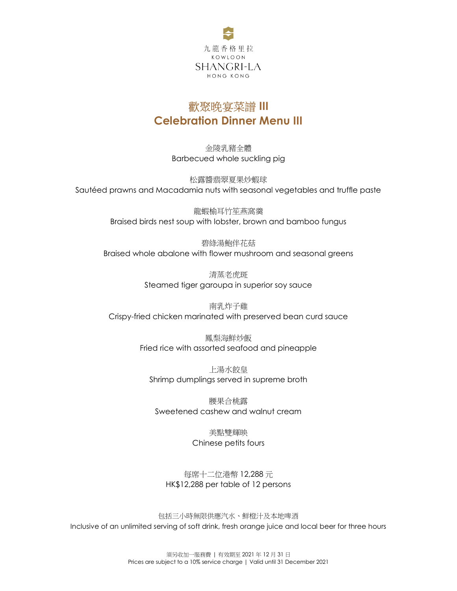

## 歡聚晚宴菜譜 Ⅲ Celebration Dinner Menu III

金陵乳豬全體 Barbecued whole suckling pig

松露醬翡翠夏果炒蝦球 Sautéed prawns and Macadamia nuts with seasonal vegetables and truffle paste

> 龍蝦榆耳竹笙燕窩羹 Braised birds nest soup with lobster, brown and bamboo fungus

碧綠湯鮑伴花菇 Braised whole abalone with flower mushroom and seasonal greens

> 清蒸老虎斑 Steamed tiger garoupa in superior soy sauce

南乳炸子雞 Crispy-fried chicken marinated with preserved bean curd sauce

> 鳳梨海鮮炒飯 Fried rice with assorted seafood and pineapple

上湯水餃皇 Shrimp dumplings served in supreme broth

腰果合桃露 Sweetened cashew and walnut cream

> 美點雙輝映 Chinese petits fours

每席十二位港幣 12,288 元 HK\$12,288 per table of 12 persons

包括三小時無限供應汽水、鮮橙汁及本地啤酒 Inclusive of an unlimited serving of soft drink, fresh orange juice and local beer for three hours